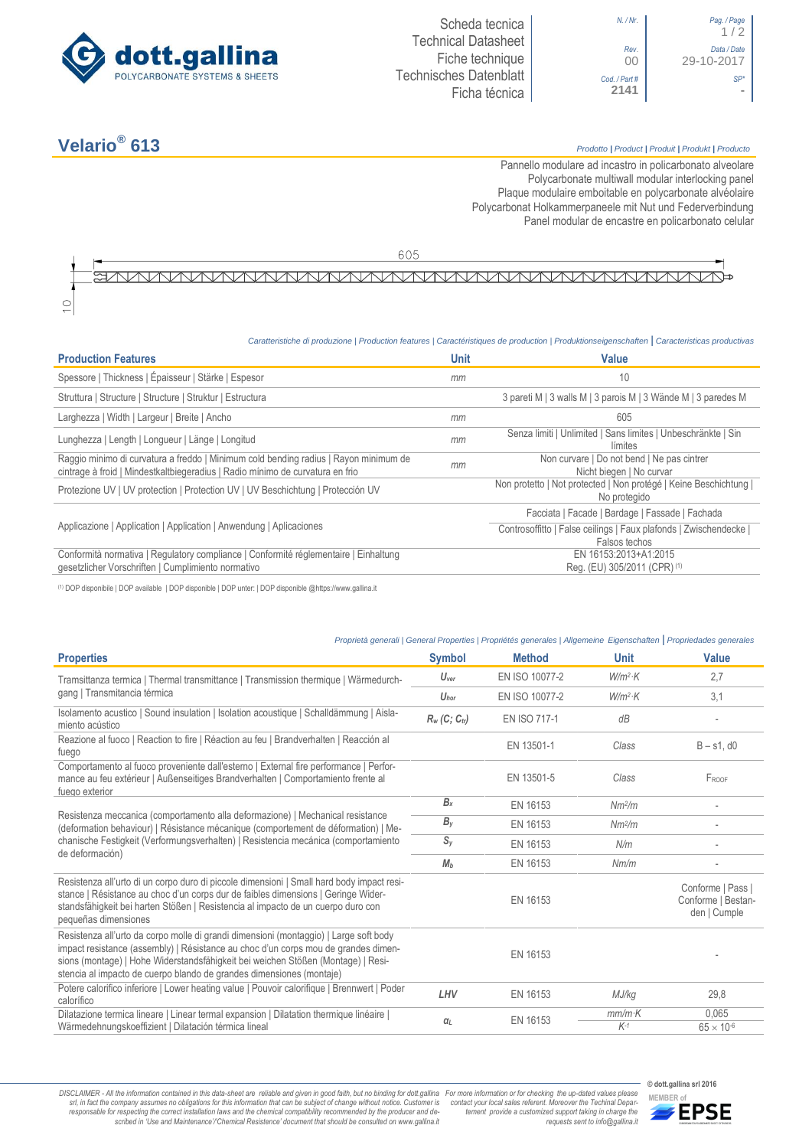

## **Velario®**

 $\subset$ 

#### **613** *Prodotto <sup>|</sup> Product <sup>|</sup> Produit <sup>|</sup> Produkt <sup>|</sup> Producto*

1 / 2

00 29-10-2017

Pannello modulare ad incastro in policarbonato alveolare Polycarbonate multiwall modular interlocking panel Plaque modulaire emboitable en polycarbonate alvéolaire Polycarbonat Holkammerpaneele mit Nut und Federverbindung [Panel modular de encastre en policarbonato c](http://www.google.it/url?sa=t&rct=j&q=&esrc=s&source=web&cd=6&ved=0ahUKEwiPyOW6w_3PAhXLORoKHXbkAhUQFggtMAU&url=http%3A%2F%2Fwww.getsl.com%2Fes%2Fmateriales-construccion%2Fsabic-policarbonato%2Fplaca-solida%2Flexan-exell-d-placa-translucida%2F&usg=AFQjCNF4aMpg9CRcF79iWWH-XBKKMH3eWA&bvm=bv.136811127,d.bGs)elular

605

# AUNAUNAUNAUNANAUNAUNAUNAUNAUNAUNAUNAUN

### *Caratteristiche di produzione | Production features | Caractéristiques de production | Produktionseigenschaften* **|** *Caracteristicas productivas*

| <b>Production Features</b>                                                                                                                                            | <b>Unit</b> | Value                                                                              |
|-----------------------------------------------------------------------------------------------------------------------------------------------------------------------|-------------|------------------------------------------------------------------------------------|
| Spessore   Thickness   Épaisseur   Stärke   Espesor                                                                                                                   | mm          | 10                                                                                 |
| Struttura   Structure   Structure   Struktur   Estructura                                                                                                             |             | 3 pareti M   3 walls M   3 parois M   3 Wände M   3 paredes M                      |
| Larghezza   Width   Largeur   Breite   Ancho                                                                                                                          | mm          | 605                                                                                |
| Lunghezza   Length   Longueur   Länge   Longitud                                                                                                                      | mm          | Senza limiti   Unlimited   Sans limites   Unbeschränkte   Sin<br>límites           |
| Raggio minimo di curvatura a freddo   Minimum cold bending radius   Rayon minimum de<br>cintrage à froid   Mindestkaltbiegeradius   Radio mínimo de curvatura en frio | mm          | Non curvare   Do not bend   Ne pas cintrer<br>Nicht biegen   No curvar             |
| Protezione UV   UV protection   Protection UV   UV Beschichtung   Protección UV                                                                                       |             | Non protetto   Not protected   Non protégé   Keine Beschichtung  <br>No protegido  |
| Applicazione   Application   Application   Anwendung   Aplicaciones                                                                                                   |             | Facciata   Facade   Bardage   Fassade   Fachada                                    |
|                                                                                                                                                                       |             | Controsoffitto   False ceilings   Faux plafonds   Zwischendecke  <br>Falsos techos |
| Conformità normativa   Regulatory compliance   Conformité réglementaire   Einhaltung<br>gesetzlicher Vorschriften   Cumplimiento normativo                            |             | EN 16153:2013+A1:2015<br>Reg. (EU) 305/2011 (CPR) (1)                              |

(1) DOP disponibile | DOP available | DOP disponible | DOP unter: | DOP disponible @https://www.gallina.it

### *Proprietà generali | General Properties | Propriétés generales | Allgemeine Eigenschaften* **|** *Propriedades generales*

| <b>Symbol</b>               | <b>Method</b>  | <b>Unit</b>        | <b>Value</b>                                            |
|-----------------------------|----------------|--------------------|---------------------------------------------------------|
| $U_{\text{ver}}$            | EN ISO 10077-2 | $W/m^2$ · $K$      | 2,7                                                     |
| $U_{\text{hor}}$            | EN ISO 10077-2 | $W/m^2$ K          | 3.1                                                     |
| $R_w$ (C; C <sub>tr</sub> ) | EN ISO 717-1   | dB                 |                                                         |
|                             | EN 13501-1     | Class              | $B - s1$ . $d0$                                         |
|                             | EN 13501-5     | Class              | FROOF                                                   |
| $B_{x}$                     | EN 16153       | Nm <sup>2</sup> /m |                                                         |
| $B_y$                       | EN 16153       | Nm <sup>2</sup> /m |                                                         |
| $S_{y}$                     | EN 16153       | N/m                |                                                         |
| M <sub>b</sub>              | EN 16153       | Nm/m               |                                                         |
|                             | EN 16153       |                    | Conforme   Pass  <br>Conforme   Bestan-<br>den   Cumple |
|                             | EN 16153       |                    |                                                         |
| LHV                         | EN 16153       | MJ/kg              | 29,8                                                    |
| $\alpha_L$                  | EN 16153       | $mm/m$ K<br>$K-1$  | 0.065<br>$65 \times 10^{-6}$                            |
|                             |                |                    |                                                         |

DISCLAIMER - All the information contained in this data-sheet are reliable and given in good faith, but no binding for dott.gallina For more information or for checking the up-dated values please<br>-srl, in fact the company -responsable for respecting the correct installation laws and the chemical compatibility recommended by the producer and de-<br>scribed in 'Use and Maintenance'/'Chemical Resistence' document that should be consulted on www.g

*tement provide a customized support taking in charge the requests sent to info@gallina.it*



**© dott.gallina srl 2016**